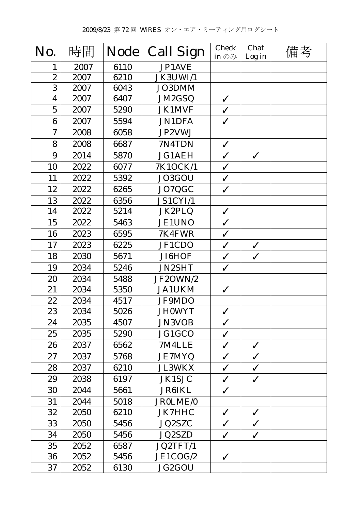| No.              | 時間   | <b>Node</b> | <b>Call Sign</b> | <b>Check</b><br>in $\mathcal{D}$ $\mathcal{H}$ | Chat<br>Log in | 備考 |
|------------------|------|-------------|------------------|------------------------------------------------|----------------|----|
| 1                | 2007 | 6110        | JP1AVE           |                                                |                |    |
| $\boldsymbol{2}$ | 2007 | 6210        | JK3UWI/1         |                                                |                |    |
| 3                | 2007 | 6043        | JO3DMM           |                                                |                |    |
| $\boldsymbol{4}$ | 2007 | 6407        | JM2GSQ           | $\checkmark$                                   |                |    |
| $\overline{5}$   | 2007 | 5290        | <b>JK1MVF</b>    | $\checkmark$                                   |                |    |
| 6                | 2007 | 5594        | <b>JN1DFA</b>    | $\checkmark$                                   |                |    |
| $\mathbf 7$      | 2008 | 6058        | JP2VWJ           |                                                |                |    |
| 8                | 2008 | 6687        | 7N4TDN           | $\checkmark$                                   |                |    |
| 9                | 2014 | 5870        | <b>JG1AEH</b>    | $\checkmark$                                   | $\checkmark$   |    |
| 10               | 2022 | 6077        | 7K1OCK/1         | $\checkmark$                                   |                |    |
| 11               | 2022 | 5392        | JO3GOU           | $\checkmark$                                   |                |    |
| 12               | 2022 | 6265        | JO7QGC           | $\checkmark$                                   |                |    |
| 13               | 2022 | 6356        | JS1CYI/1         |                                                |                |    |
| 14               | 2022 | 5214        | JK2PLQ           | $\checkmark$                                   |                |    |
| 15               | 2022 | 5463        | <b>JE1UNO</b>    | $\checkmark$                                   |                |    |
| 16               | 2023 | 6595        | 7K4FWR           | $\checkmark$                                   |                |    |
| 17               | 2023 | 6225        | JF1CDO           | $\checkmark$                                   | $\checkmark$   |    |
| 18               | 2030 | 5671        | JI6HOF           | $\checkmark$                                   | $\checkmark$   |    |
| 19               | 2034 | 5246        | <b>JN2SHT</b>    | ✓                                              |                |    |
| 20               | 2034 | 5488        | JF2OWN/2         |                                                |                |    |
| 21               | 2034 | 5350        | <b>JA1UKM</b>    | $\checkmark$                                   |                |    |
| 22               | 2034 | 4517        | JF9MDO           |                                                |                |    |
| 23               | 2034 | 5026        | <b>JHOWYT</b>    | $\checkmark$                                   |                |    |
| 24               | 2035 | 4507        | <b>JN3VOB</b>    | $\checkmark$                                   |                |    |
| 25               | 2035 | 5290        | JG1GCO           | $\checkmark$                                   |                |    |
| 26               | 2037 | 6562        | 7M4LLE           | $\checkmark$                                   | $\checkmark$   |    |
| 27               | 2037 | 5768        | <b>JE7MYQ</b>    | $\checkmark$                                   | $\checkmark$   |    |
| 28               | 2037 | 6210        | <b>JL3WKX</b>    | $\checkmark$                                   | $\checkmark$   |    |
| 29               | 2038 | 6197        | <b>JK1SJC</b>    | $\checkmark$                                   | $\checkmark$   |    |
| 30               | 2044 | 5661        | <b>JR6IKL</b>    | $\checkmark$                                   |                |    |
| 31               | 2044 | 5018        | JR0LME/0         |                                                |                |    |
| 32               | 2050 | 6210        | JK7HHC           | $\checkmark$                                   | $\checkmark$   |    |
| 33               | 2050 | 5456        | JQ2SZC           | $\checkmark$                                   | $\checkmark$   |    |
| 34               | 2050 | 5456        | <b>JQ2SZD</b>    | $\checkmark$                                   | $\checkmark$   |    |
| 35               | 2052 | 6587        | JQ2TFT/1         |                                                |                |    |
| 36               | 2052 | 5456        | JE1COG/2         | $\checkmark$                                   |                |    |
| 37               | 2052 | 6130        | JG2GOU           |                                                |                |    |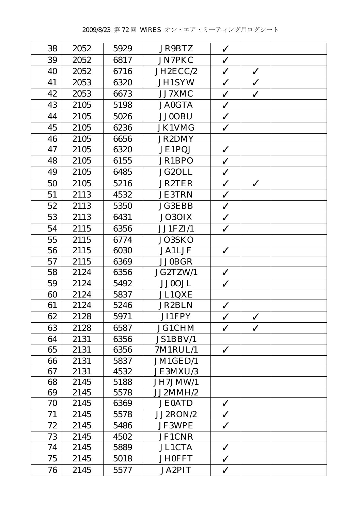| 38 | 2052 | 5929 | <b>JR9BTZ</b> | $\checkmark$ |              |  |
|----|------|------|---------------|--------------|--------------|--|
| 39 | 2052 | 6817 | <b>JN7PKC</b> | $\checkmark$ |              |  |
| 40 | 2052 | 6716 | JH2ECC/2      | $\checkmark$ | $\checkmark$ |  |
| 41 | 2053 | 6320 | <b>JH1SYW</b> | $\checkmark$ | $\checkmark$ |  |
| 42 | 2053 | 6673 | JJ7XMC        | $\checkmark$ | $\checkmark$ |  |
| 43 | 2105 | 5198 | <b>JA0GTA</b> | $\checkmark$ |              |  |
| 44 | 2105 | 5026 | <b>JJ0OBU</b> | $\checkmark$ |              |  |
| 45 | 2105 | 6236 | <b>JK1VMG</b> | $\checkmark$ |              |  |
| 46 | 2105 | 6656 | <b>JR2DMY</b> |              |              |  |
| 47 | 2105 | 6320 | JE1PQJ        | $\checkmark$ |              |  |
| 48 | 2105 | 6155 | JR1BPO        | $\checkmark$ |              |  |
| 49 | 2105 | 6485 | JG2OLL        | $\checkmark$ |              |  |
| 50 | 2105 | 5216 | <b>JR2TER</b> | $\checkmark$ | $\checkmark$ |  |
| 51 | 2113 | 4532 | <b>JE3TRN</b> | $\checkmark$ |              |  |
| 52 | 2113 | 5350 | <b>JG3EBB</b> | $\checkmark$ |              |  |
| 53 | 2113 | 6431 | JO3OIX        | $\checkmark$ |              |  |
| 54 | 2115 | 6356 | JJ1FZI/1      | $\checkmark$ |              |  |
| 55 | 2115 | 6774 | JO3SKO        |              |              |  |
| 56 | 2115 | 6030 | <b>JA1LJF</b> | $\checkmark$ |              |  |
| 57 | 2115 | 6369 | <b>JJ0BGR</b> |              |              |  |
| 58 | 2124 | 6356 | JG2TZW/1      | $\checkmark$ |              |  |
| 59 | 2124 | 5492 | <b>JJ0OJL</b> | $\checkmark$ |              |  |
| 60 | 2124 | 5837 | JL1QXE        |              |              |  |
| 61 | 2124 | 5246 | <b>JR2BLN</b> | $\checkmark$ |              |  |
| 62 | 2128 | 5971 | JI1FPY        | $\checkmark$ | $\checkmark$ |  |
| 63 | 2128 | 6587 | <b>JG1CHM</b> | $\checkmark$ | $\checkmark$ |  |
| 64 | 2131 | 6356 | JS1BBV/1      |              |              |  |
| 65 | 2131 | 6356 | 7M1RUL/1      | $\checkmark$ |              |  |
| 66 | 2131 | 5837 | JM1GED/1      |              |              |  |
| 67 | 2131 | 4532 | JE3MXU/3      |              |              |  |
| 68 | 2145 | 5188 | JH7JMW/1      |              |              |  |
| 69 | 2145 | 5578 | JJ2MMH/2      |              |              |  |
| 70 | 2145 | 6369 | <b>JE0ATD</b> | $\checkmark$ |              |  |
| 71 | 2145 | 5578 | JJ2RON/2      | $\checkmark$ |              |  |
| 72 | 2145 | 5486 | JF3WPE        | $\checkmark$ |              |  |
| 73 | 2145 | 4502 | JF1CNR        |              |              |  |
| 74 | 2145 | 5889 | <b>JL1CTA</b> | $\checkmark$ |              |  |
| 75 | 2145 | 5018 | <b>JH0FFT</b> | $\checkmark$ |              |  |
| 76 | 2145 | 5577 | <b>JA2PIT</b> | $\checkmark$ |              |  |